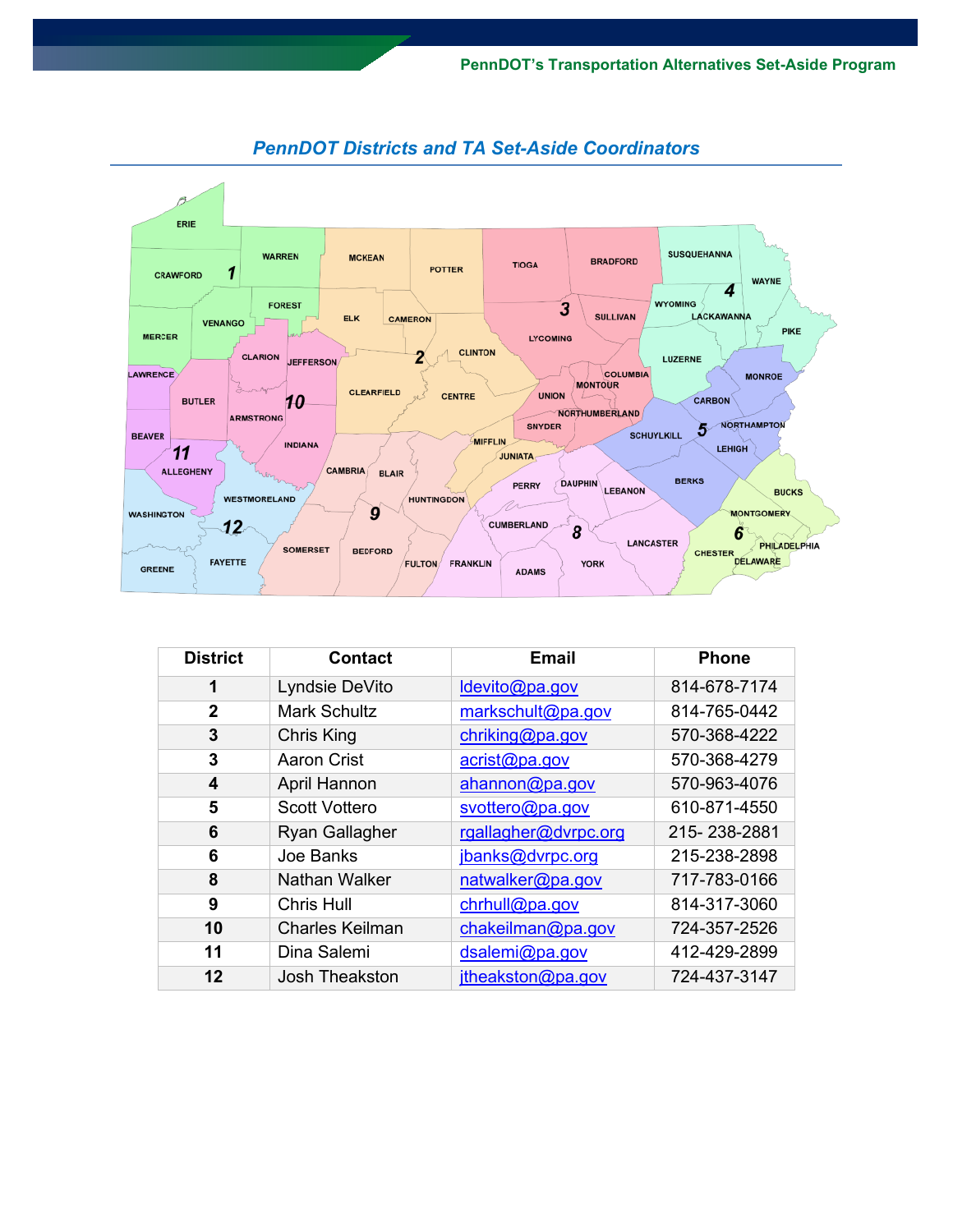

## *PennDOT Districts and TA Set-Aside Coordinators*

| <b>District</b> | <b>Contact</b>         | <b>Email</b>         | <b>Phone</b> |
|-----------------|------------------------|----------------------|--------------|
| 1               | Lyndsie DeVito         | Idevito@pa.gov       | 814-678-7174 |
| $\overline{2}$  | <b>Mark Schultz</b>    | markschult@pa.gov    | 814-765-0442 |
| 3               | <b>Chris King</b>      | chriking@pa.gov      | 570-368-4222 |
| 3               | <b>Aaron Crist</b>     | acrist@pa.gov        | 570-368-4279 |
| 4               | April Hannon           | ahannon@pa.gov       | 570-963-4076 |
| 5               | <b>Scott Vottero</b>   | svottero@pa.gov      | 610-871-4550 |
| 6               | <b>Ryan Gallagher</b>  | rgallagher@dvrpc.org | 215-238-2881 |
| 6               | Joe Banks              | jbanks@dvrpc.org     | 215-238-2898 |
| 8               | <b>Nathan Walker</b>   | natwalker@pa.gov     | 717-783-0166 |
| 9               | <b>Chris Hull</b>      | chrhull@pa.gov       | 814-317-3060 |
| 10              | <b>Charles Keilman</b> | chakeilman@pa.gov    | 724-357-2526 |
| 11              | Dina Salemi            | dsalemi@pa.gov       | 412-429-2899 |
| 12              | Josh Theakston         | jtheakston@pa.gov    | 724-437-3147 |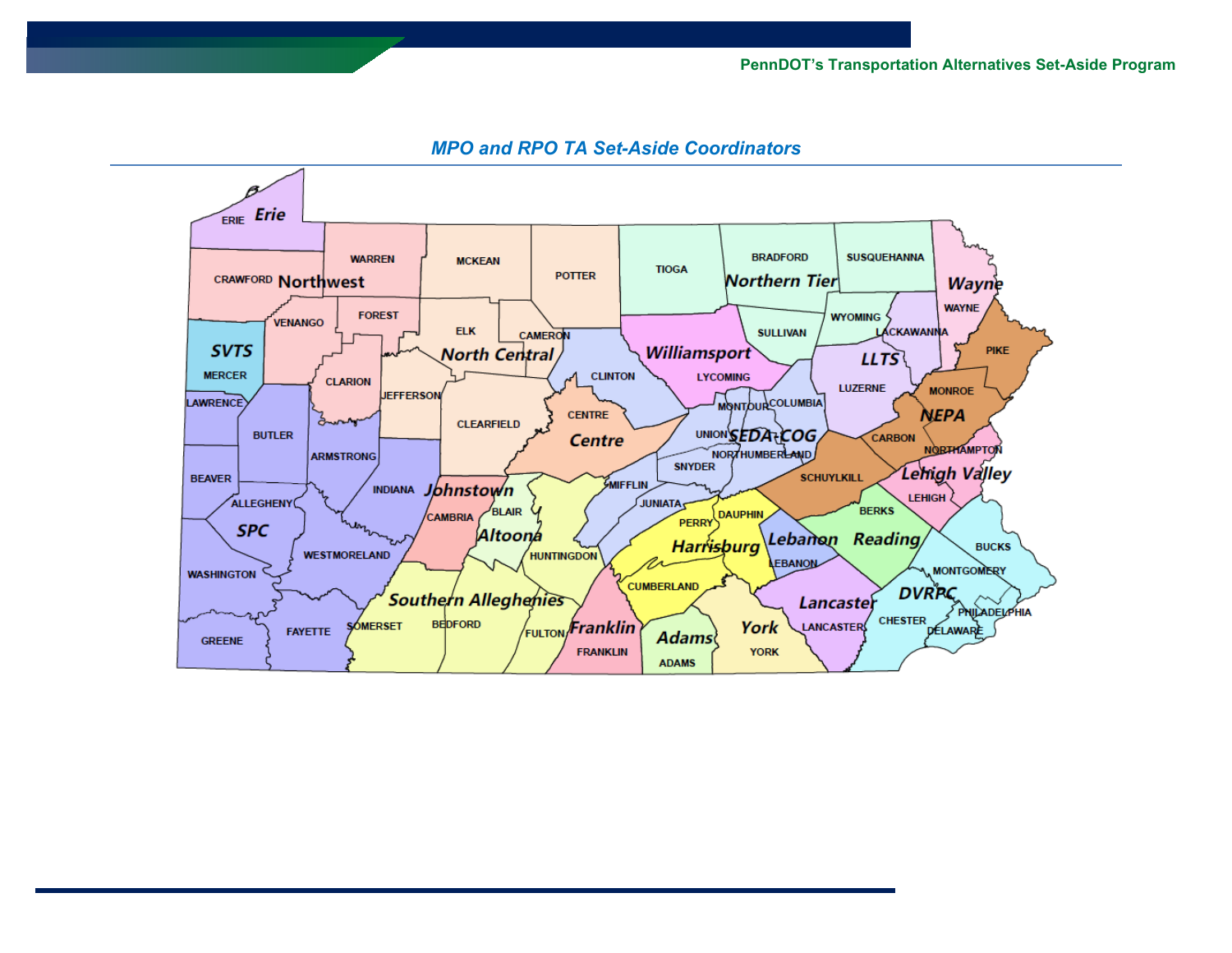

## *MPO and RPO TA Set-Aside Coordinators*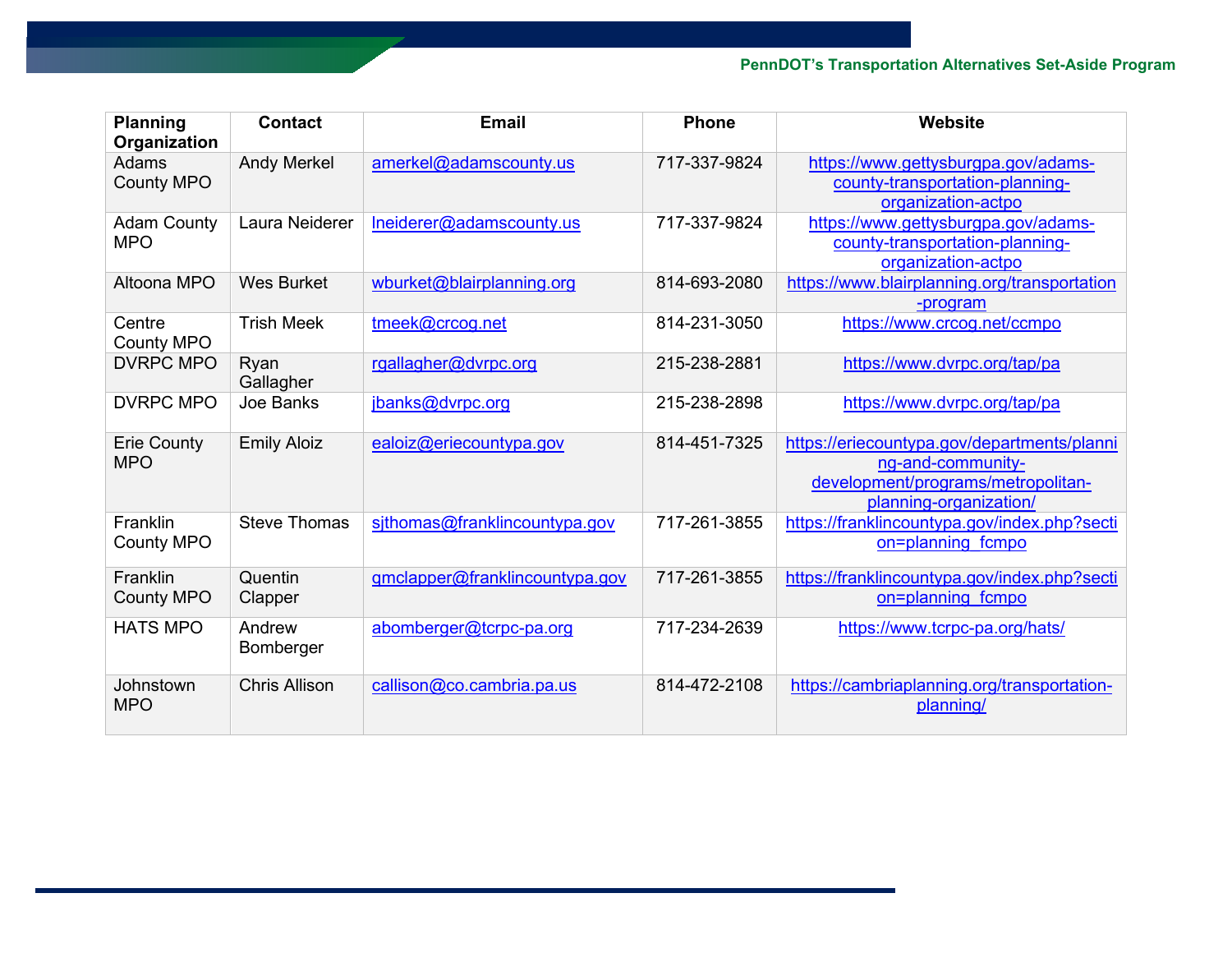| <b>Planning</b><br>Organization  | <b>Contact</b>       | <b>Email</b>                   | <b>Phone</b> | Website                                                                                                                          |
|----------------------------------|----------------------|--------------------------------|--------------|----------------------------------------------------------------------------------------------------------------------------------|
| Adams<br><b>County MPO</b>       | <b>Andy Merkel</b>   | amerkel@adamscounty.us         | 717-337-9824 | https://www.gettysburgpa.gov/adams-<br>county-transportation-planning-<br>organization-actpo                                     |
| <b>Adam County</b><br><b>MPO</b> | Laura Neiderer       | Ineiderer@adamscounty.us       | 717-337-9824 | https://www.gettysburgpa.gov/adams-<br>county-transportation-planning-<br>organization-actpo                                     |
| Altoona MPO                      | <b>Wes Burket</b>    | wburket@blairplanning.org      | 814-693-2080 | https://www.blairplanning.org/transportation<br>-program                                                                         |
| Centre<br><b>County MPO</b>      | <b>Trish Meek</b>    | tmeek@crcog.net                | 814-231-3050 | https://www.crcog.net/ccmpo                                                                                                      |
| <b>DVRPC MPO</b>                 | Ryan<br>Gallagher    | rgallagher@dvrpc.org           | 215-238-2881 | https://www.dvrpc.org/tap/pa                                                                                                     |
| <b>DVRPC MPO</b>                 | Joe Banks            | jbanks@dvrpc.org               | 215-238-2898 | https://www.dvrpc.org/tap/pa                                                                                                     |
| <b>Erie County</b><br><b>MPO</b> | <b>Emily Aloiz</b>   | ealoiz@eriecountypa.gov        | 814-451-7325 | https://eriecountypa.gov/departments/planni<br>ng-and-community-<br>development/programs/metropolitan-<br>planning-organization/ |
| Franklin<br><b>County MPO</b>    | <b>Steve Thomas</b>  | sithomas@franklincountypa.gov  | 717-261-3855 | https://franklincountypa.gov/index.php?secti<br>on=planning fcmpo                                                                |
| Franklin<br><b>County MPO</b>    | Quentin<br>Clapper   | gmclapper@franklincountypa.gov | 717-261-3855 | https://franklincountypa.gov/index.php?secti<br>on=planning fcmpo                                                                |
| <b>HATS MPO</b>                  | Andrew<br>Bomberger  | abomberger@tcrpc-pa.org        | 717-234-2639 | https://www.tcrpc-pa.org/hats/                                                                                                   |
| Johnstown<br><b>MPO</b>          | <b>Chris Allison</b> | callison@co.cambria.pa.us      | 814-472-2108 | https://cambriaplanning.org/transportation-<br>planning/                                                                         |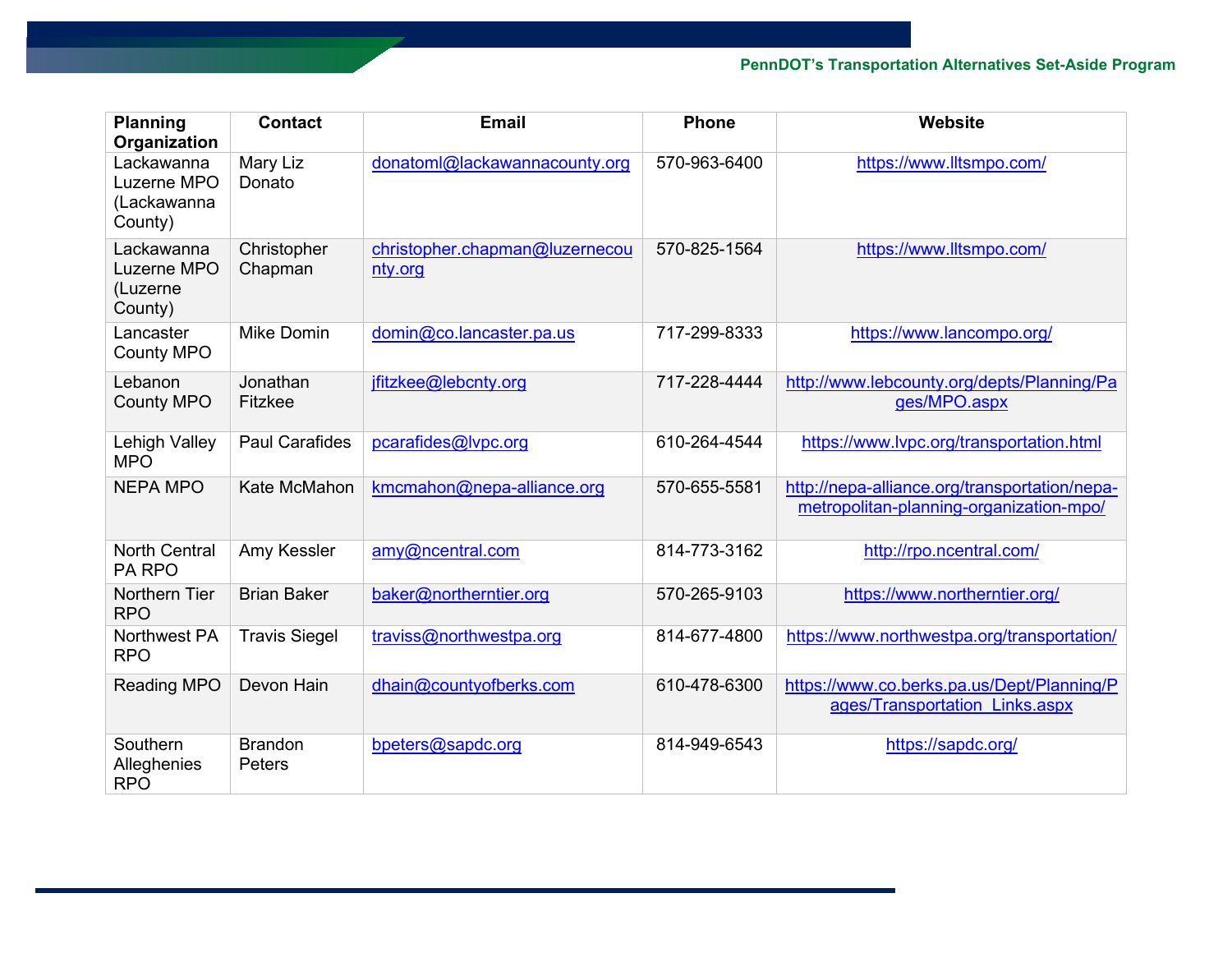| <b>Planning</b><br>Organization                     | <b>Contact</b>           | <b>Email</b>                              | <b>Phone</b> | Website                                                                                  |
|-----------------------------------------------------|--------------------------|-------------------------------------------|--------------|------------------------------------------------------------------------------------------|
| Lackawanna<br>Luzerne MPO<br>(Lackawanna<br>County) | Mary Liz<br>Donato       | donatoml@lackawannacounty.org             | 570-963-6400 | https://www.lltsmpo.com/                                                                 |
| Lackawanna<br>Luzerne MPO<br>(Luzerne<br>County)    | Christopher<br>Chapman   | christopher.chapman@luzernecou<br>nty.org | 570-825-1564 | https://www.lltsmpo.com/                                                                 |
| Lancaster<br><b>County MPO</b>                      | <b>Mike Domin</b>        | domin@co.lancaster.pa.us                  | 717-299-8333 | https://www.lancompo.org/                                                                |
| Lebanon<br><b>County MPO</b>                        | Jonathan<br>Fitzkee      | jfitzkee@lebcnty.org                      | 717-228-4444 | http://www.lebcounty.org/depts/Planning/Pa<br>ges/MPO.aspx                               |
| Lehigh Valley<br><b>MPO</b>                         | <b>Paul Carafides</b>    | pcarafides@lvpc.org                       | 610-264-4544 | https://www.lvpc.org/transportation.html                                                 |
| <b>NEPA MPO</b>                                     | Kate McMahon             | kmcmahon@nepa-alliance.org                | 570-655-5581 | http://nepa-alliance.org/transportation/nepa-<br>metropolitan-planning-organization-mpo/ |
| <b>North Central</b><br>PA RPO                      | Amy Kessler              | amy@ncentral.com                          | 814-773-3162 | http://rpo.ncentral.com/                                                                 |
| Northern Tier<br><b>RPO</b>                         | <b>Brian Baker</b>       | baker@northerntier.org                    | 570-265-9103 | https://www.northerntier.org/                                                            |
| <b>Northwest PA</b><br><b>RPO</b>                   | <b>Travis Siegel</b>     | traviss@northwestpa.org                   | 814-677-4800 | https://www.northwestpa.org/transportation/                                              |
| Reading MPO                                         | Devon Hain               | dhain@countyofberks.com                   | 610-478-6300 | https://www.co.berks.pa.us/Dept/Planning/P<br>ages/Transportation Links.aspx             |
| Southern<br>Alleghenies<br><b>RPO</b>               | <b>Brandon</b><br>Peters | bpeters@sapdc.org                         | 814-949-6543 | https://sapdc.org/                                                                       |